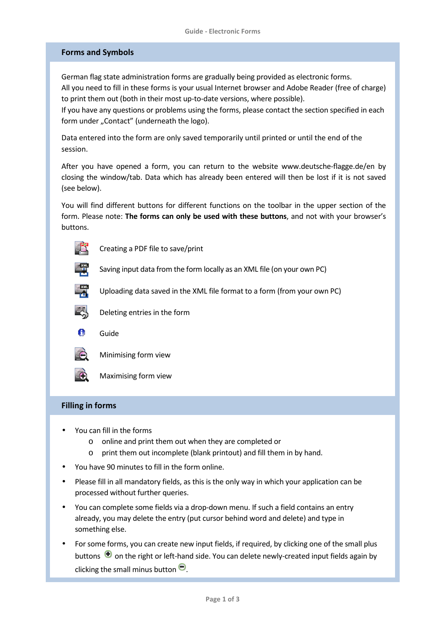# **Forms and Symbols**

German flag state administration forms are gradually being provided as electronic forms. All you need to fill in these forms is your usual Internet browser and Adobe Reader (free of charge) to print them out (both in their most up-to-date versions, where possible).

If you have any questions or problems using the forms, please contact the section specified in each form under "Contact" (underneath the logo).

Data entered into the form are only saved temporarily until printed or until the end of the session.

After you have opened a form, you can return to the website www.deutsche-flagge.de/en by closing the window/tab. Data which has already been entered will then be lost if it is not saved (see below).

You will find different buttons for different functions on the toolbar in the upper section of the form. Please note: **The forms can only be used with these buttons**, and not with your browser's buttons.

Uploading data saved in the XML file format to a form (from your own PC)

 $\Box$  Creating a PDF file to save/print



Saving input data from the form locally as an XML file (on your own PC)





Deleting entries in the form

**C** Guide



Minimising form view

Maximising form view

# **Filling in forms**

- You can fill in the forms
	- o online and print them out when they are completed or
	- o print them out incomplete (blank printout) and fill them in by hand.
- You have 90 minutes to fill in the form online.
- Please fill in all mandatory fields, as this is the only way in which your application can be processed without further queries.
- You can complete some fields via a drop-down menu. If such a field contains an entry already, you may delete the entry (put cursor behind word and delete) and type in something else.
- For some forms, you can create new input fields, if required, by clicking one of the small plus buttons  $\bigoplus$  on the right or left-hand side. You can delete newly-created input fields again by clicking the small minus button  $\Theta$ .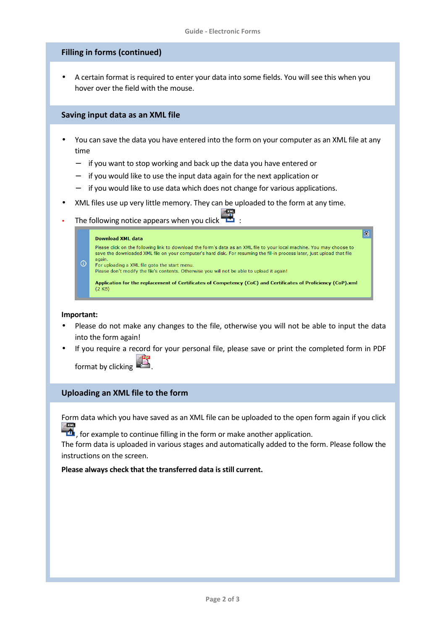# **Filling in forms (continued)**

• A certain format is required to enter your data into some fields. You will see this when you hover over the field with the mouse.

## **Saving input data as an XML file**

- You can save the data you have entered into the form on your computer as an XML file at any time
	- − if you want to stop working and back up the data you have entered or
	- if you would like to use the input data again for the next application or
	- if you would like to use data which does not change for various applications.
- XML files use up very little memory. They can be uploaded to the form at any time.
- The following notice appears when you click

#### Download XML data



 $\circledR$ 

### **Important:**

- Please do not make any changes to the file, otherwise you will not be able to input the data into the form again!
- If you require a record for your personal file, please save or print the completed form in PDF

format by clicking .

# **Uploading an XML file to the form**

Form data which you have saved as an XML file can be uploaded to the open form again if you click  $2 \times M$ 

 $\mathbf{f}$ , for example to continue filling in the form or make another application.

The form data is uploaded in various stages and automatically added to the form. Please follow the instructions on the screen.

**Please always check that the transferred data is still current.**